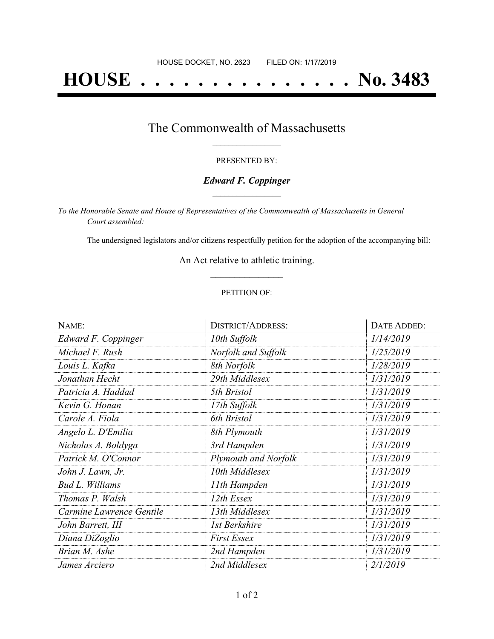# **HOUSE . . . . . . . . . . . . . . . No. 3483**

# The Commonwealth of Massachusetts **\_\_\_\_\_\_\_\_\_\_\_\_\_\_\_\_\_**

#### PRESENTED BY:

## *Edward F. Coppinger* **\_\_\_\_\_\_\_\_\_\_\_\_\_\_\_\_\_**

*To the Honorable Senate and House of Representatives of the Commonwealth of Massachusetts in General Court assembled:*

The undersigned legislators and/or citizens respectfully petition for the adoption of the accompanying bill:

An Act relative to athletic training. **\_\_\_\_\_\_\_\_\_\_\_\_\_\_\_**

### PETITION OF:

| NAME:                    | <b>DISTRICT/ADDRESS:</b> | DATE ADDED: |
|--------------------------|--------------------------|-------------|
| Edward F. Coppinger      | 10th Suffolk             | 1/14/2019   |
| Michael F. Rush          | Norfolk and Suffolk      | 1/25/2019   |
| Louis L. Kafka           | 8th Norfolk              | 1/28/2019   |
| Jonathan Hecht           | 29th Middlesex           | 1/31/2019   |
| Patricia A. Haddad       | 5th Bristol              | 1/31/2019   |
| Kevin G. Honan           | 17th Suffolk             | 1/31/2019   |
| Carole A. Fiola          | 6th Bristol              | 1/31/2019   |
| Angelo L. D'Emilia       | 8th Plymouth             | 1/31/2019   |
| Nicholas A. Boldyga      | 3rd Hampden              | 1/31/2019   |
| Patrick M. O'Connor      | Plymouth and Norfolk     | 1/31/2019   |
| John J. Lawn, Jr.        | 10th Middlesex           | 1/31/2019   |
| <b>Bud L. Williams</b>   | 11th Hampden             | 1/31/2019   |
| Thomas P. Walsh          | 12th Essex               | 1/31/2019   |
| Carmine Lawrence Gentile | 13th Middlesex           | 1/31/2019   |
| John Barrett, III        | 1st Berkshire            | 1/31/2019   |
| Diana DiZoglio           | <b>First Essex</b>       | 1/31/2019   |
| Brian M. Ashe            | 2nd Hampden              | 1/31/2019   |
| James Arciero            | 2nd Middlesex            | 2/1/2019    |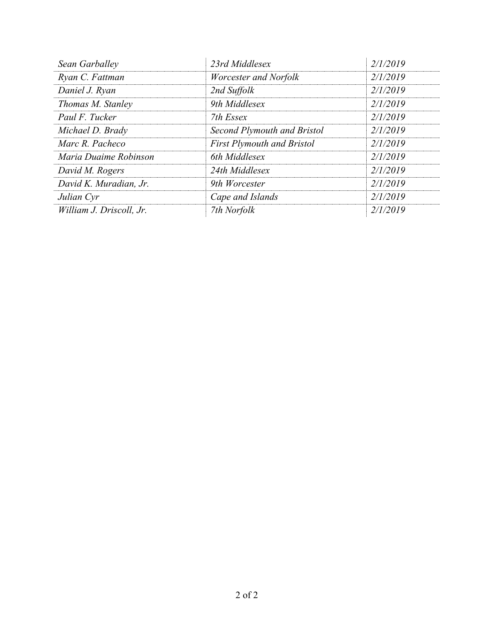| Sean Garballey           | 23rd Middlesex                    | 2/1/2019 |
|--------------------------|-----------------------------------|----------|
| Ryan C. Fattman          | Worcester and Norfolk             | 2/1/2019 |
| Daniel J. Ryan           | 2nd Suffolk                       | 2/1/2019 |
| Thomas M. Stanley        | 9th Middlesex                     | 2/1/2019 |
| Paul F. Tucker           | 7th Essex                         | 2/1/2019 |
| Michael D. Brady         | Second Plymouth and Bristol       | 2/1/2019 |
| Marc R. Pacheco          | <b>First Plymouth and Bristol</b> | 2/1/2019 |
| Maria Duaime Robinson    | 6th Middlesex                     | 2/1/2019 |
| David M. Rogers          | 24th Middlesex                    | 2/1/2019 |
| David K. Muradian, Jr.   | 9th Worcester                     | 2/1/2019 |
| Julian Cyr               | Cape and Islands                  | 2/1/2019 |
| William J. Driscoll, Jr. | 7th Norfolk                       | 2/1/2019 |